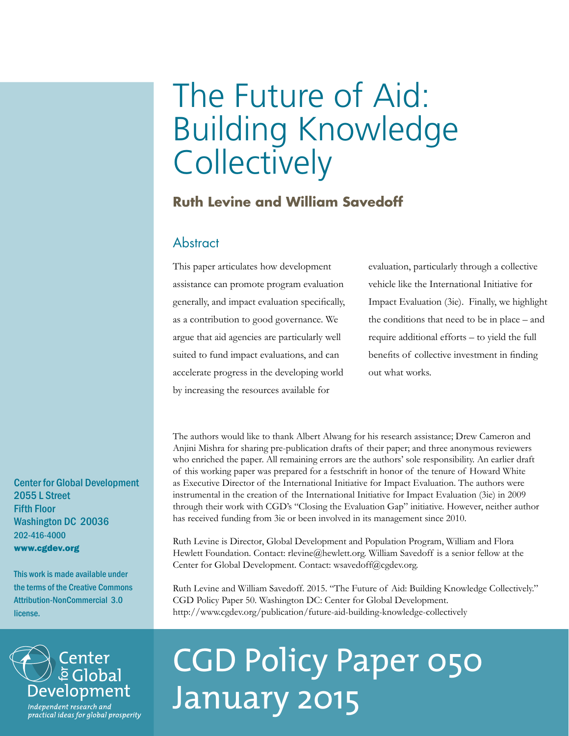# The Future of Aid: Building Knowledge **Collectively**

## **Ruth Levine and William Savedoff**

### Abstract

This paper articulates how development assistance can promote program evaluation generally, and impact evaluation specifically, as a contribution to good governance. We argue that aid agencies are particularly well suited to fund impact evaluations, and can accelerate progress in the developing world by increasing the resources available for

evaluation, particularly through a collective vehicle like the International Initiative for Impact Evaluation (3ie). Finally, we highlight the conditions that need to be in place – and require additional efforts – to yield the full benefits of collective investment in finding out what works.

The authors would like to thank Albert Alwang for his research assistance; Drew Cameron and Anjini Mishra for sharing pre-publication drafts of their paper; and three anonymous reviewers who enriched the paper. All remaining errors are the authors' sole responsibility. An earlier draft of this working paper was prepared for a festschrift in honor of the tenure of Howard White as Executive Director of the International Initiative for Impact Evaluation. The authors were instrumental in the creation of the International Initiative for Impact Evaluation (3ie) in 2009 through their work with CGD's "Closing the Evaluation Gap" initiative. However, neither author has received funding from 3ie or been involved in its management since 2010.

Ruth Levine is Director, Global Development and Population Program, William and Flora Hewlett Foundation. Contact: rlevine@hewlett.org. William Savedoff is a senior fellow at the Center for Global Development. Contact: wsavedoff@cgdev.org.

Ruth Levine and William Savedoff. 2015. "The Future of Aid: Building Knowledge Collectively." CGD Policy Paper 50. Washington DC: Center for Global Development. http://www.cgdev.org/publication/future-aid-building-knowledge-collectively

# Center<br>ē Global Development Independent research and

practical ideas for global prosperity

# CGD Policy Paper 050 January 2015

Center for Global Development 2055 L Street Fifth Floor Washington DC 20036 202-416-4000 www.cgdev.org

This work is made available under the terms of the Creative Commons Attribution-NonCommercial 3.0 license.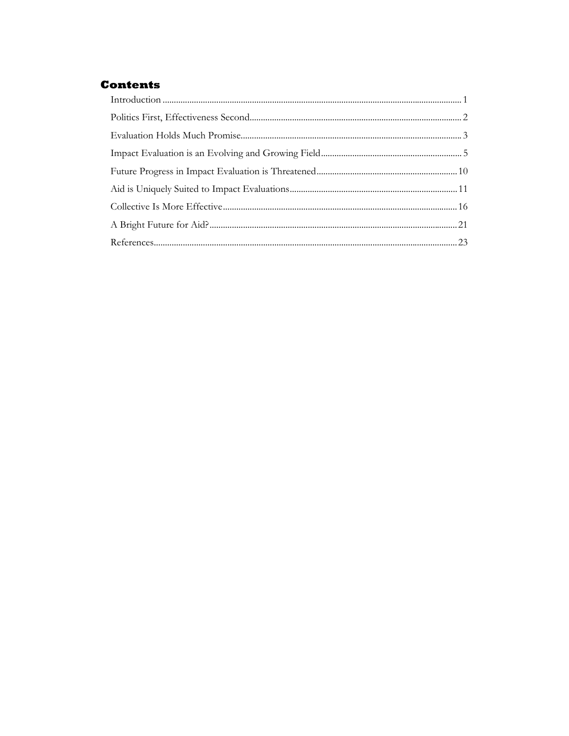### **Contents**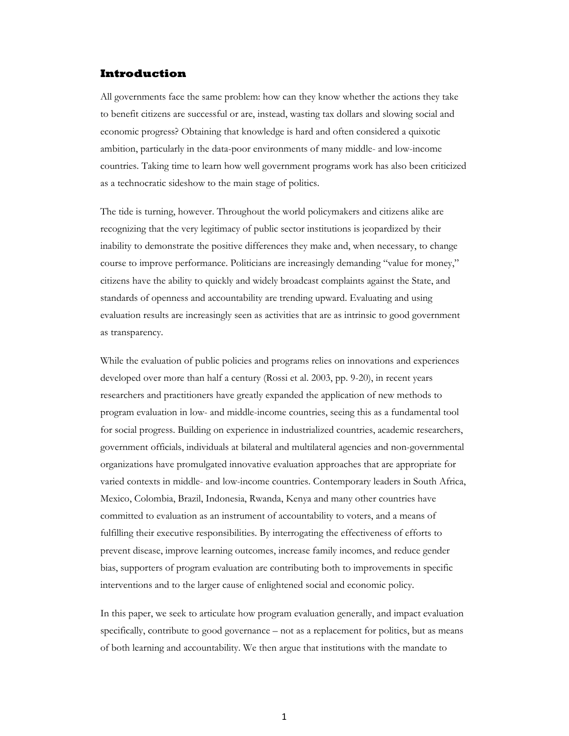#### **Introduction**

All governments face the same problem: how can they know whether the actions they take to benefit citizens are successful or are, instead, wasting tax dollars and slowing social and economic progress? Obtaining that knowledge is hard and often considered a quixotic ambition, particularly in the data-poor environments of many middle- and low-income countries. Taking time to learn how well government programs work has also been criticized as a technocratic sideshow to the main stage of politics.

The tide is turning, however. Throughout the world policymakers and citizens alike are recognizing that the very legitimacy of public sector institutions is jeopardized by their inability to demonstrate the positive differences they make and, when necessary, to change course to improve performance. Politicians are increasingly demanding "value for money," citizens have the ability to quickly and widely broadcast complaints against the State, and standards of openness and accountability are trending upward. Evaluating and using evaluation results are increasingly seen as activities that are as intrinsic to good government as transparency.

While the evaluation of public policies and programs relies on innovations and experiences developed over more than half a century (Rossi et al. 2003, pp. 9-20), in recent years researchers and practitioners have greatly expanded the application of new methods to program evaluation in low- and middle-income countries, seeing this as a fundamental tool for social progress. Building on experience in industrialized countries, academic researchers, government officials, individuals at bilateral and multilateral agencies and non-governmental organizations have promulgated innovative evaluation approaches that are appropriate for varied contexts in middle- and low-income countries. Contemporary leaders in South Africa, Mexico, Colombia, Brazil, Indonesia, Rwanda, Kenya and many other countries have committed to evaluation as an instrument of accountability to voters, and a means of fulfilling their executive responsibilities. By interrogating the effectiveness of efforts to prevent disease, improve learning outcomes, increase family incomes, and reduce gender bias, supporters of program evaluation are contributing both to improvements in specific interventions and to the larger cause of enlightened social and economic policy.

In this paper, we seek to articulate how program evaluation generally, and impact evaluation specifically, contribute to good governance – not as a replacement for politics, but as means of both learning and accountability. We then argue that institutions with the mandate to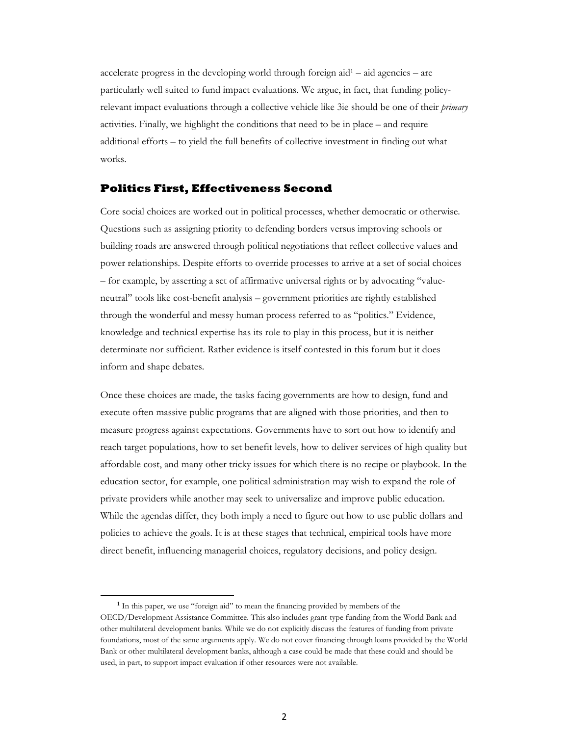accelerate progress in the developing world through foreign aid1 – aid agencies – are particularly well suited to fund impact evaluations. We argue, in fact, that funding policyrelevant impact evaluations through a collective vehicle like 3ie should be one of their *primary* activities. Finally, we highlight the conditions that need to be in place – and require additional efforts – to yield the full benefits of collective investment in finding out what works.

#### **Politics First, Effectiveness Second**

Core social choices are worked out in political processes, whether democratic or otherwise. Questions such as assigning priority to defending borders versus improving schools or building roads are answered through political negotiations that reflect collective values and power relationships. Despite efforts to override processes to arrive at a set of social choices – for example, by asserting a set of affirmative universal rights or by advocating "valueneutral" tools like cost-benefit analysis – government priorities are rightly established through the wonderful and messy human process referred to as "politics." Evidence, knowledge and technical expertise has its role to play in this process, but it is neither determinate nor sufficient. Rather evidence is itself contested in this forum but it does inform and shape debates.

Once these choices are made, the tasks facing governments are how to design, fund and execute often massive public programs that are aligned with those priorities, and then to measure progress against expectations. Governments have to sort out how to identify and reach target populations, how to set benefit levels, how to deliver services of high quality but affordable cost, and many other tricky issues for which there is no recipe or playbook. In the education sector, for example, one political administration may wish to expand the role of private providers while another may seek to universalize and improve public education. While the agendas differ, they both imply a need to figure out how to use public dollars and policies to achieve the goals. It is at these stages that technical, empirical tools have more direct benefit, influencing managerial choices, regulatory decisions, and policy design.

1

<sup>&</sup>lt;sup>1</sup> In this paper, we use "foreign aid" to mean the financing provided by members of the OECD/Development Assistance Committee. This also includes grant-type funding from the World Bank and other multilateral development banks. While we do not explicitly discuss the features of funding from private foundations, most of the same arguments apply. We do not cover financing through loans provided by the World Bank or other multilateral development banks, although a case could be made that these could and should be used, in part, to support impact evaluation if other resources were not available.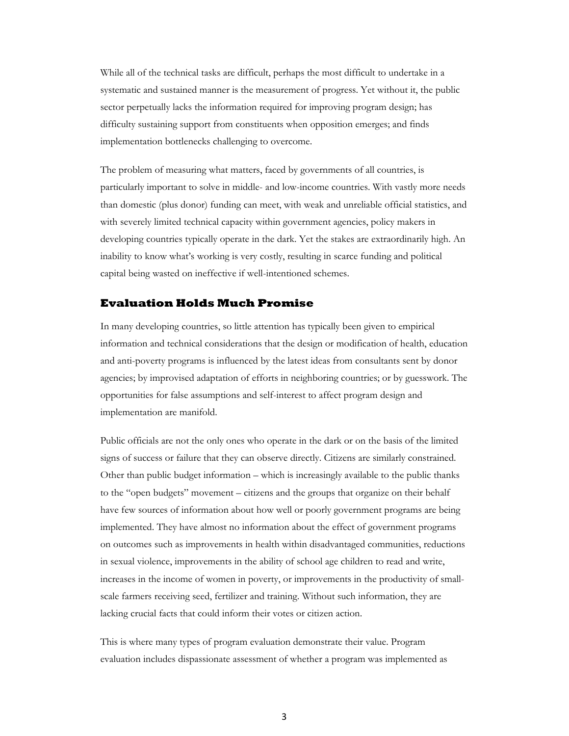While all of the technical tasks are difficult, perhaps the most difficult to undertake in a systematic and sustained manner is the measurement of progress. Yet without it, the public sector perpetually lacks the information required for improving program design; has difficulty sustaining support from constituents when opposition emerges; and finds implementation bottlenecks challenging to overcome.

The problem of measuring what matters, faced by governments of all countries, is particularly important to solve in middle- and low-income countries. With vastly more needs than domestic (plus donor) funding can meet, with weak and unreliable official statistics, and with severely limited technical capacity within government agencies, policy makers in developing countries typically operate in the dark. Yet the stakes are extraordinarily high. An inability to know what's working is very costly, resulting in scarce funding and political capital being wasted on ineffective if well-intentioned schemes.

#### **Evaluation Holds Much Promise**

In many developing countries, so little attention has typically been given to empirical information and technical considerations that the design or modification of health, education and anti-poverty programs is influenced by the latest ideas from consultants sent by donor agencies; by improvised adaptation of efforts in neighboring countries; or by guesswork. The opportunities for false assumptions and self-interest to affect program design and implementation are manifold.

Public officials are not the only ones who operate in the dark or on the basis of the limited signs of success or failure that they can observe directly. Citizens are similarly constrained. Other than public budget information – which is increasingly available to the public thanks to the "open budgets" movement – citizens and the groups that organize on their behalf have few sources of information about how well or poorly government programs are being implemented. They have almost no information about the effect of government programs on outcomes such as improvements in health within disadvantaged communities, reductions in sexual violence, improvements in the ability of school age children to read and write, increases in the income of women in poverty, or improvements in the productivity of smallscale farmers receiving seed, fertilizer and training. Without such information, they are lacking crucial facts that could inform their votes or citizen action.

This is where many types of program evaluation demonstrate their value. Program evaluation includes dispassionate assessment of whether a program was implemented as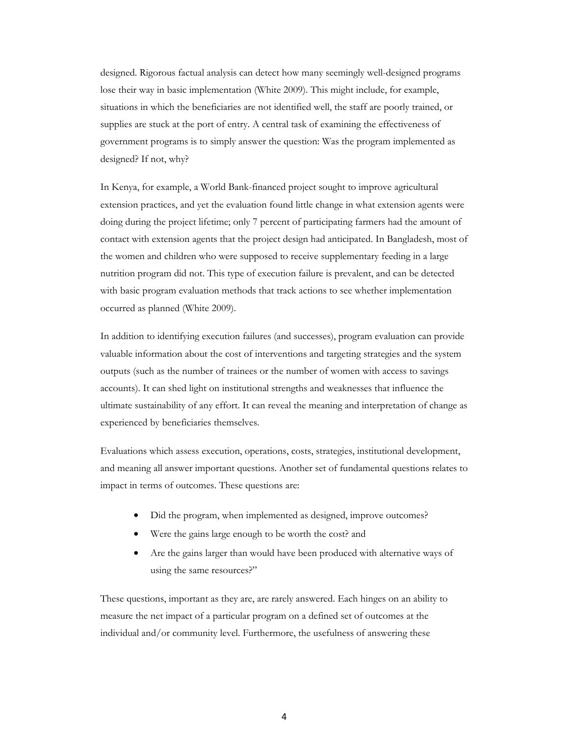designed. Rigorous factual analysis can detect how many seemingly well-designed programs lose their way in basic implementation (White 2009). This might include, for example, situations in which the beneficiaries are not identified well, the staff are poorly trained, or supplies are stuck at the port of entry. A central task of examining the effectiveness of government programs is to simply answer the question: Was the program implemented as designed? If not, why?

In Kenya, for example, a World Bank-financed project sought to improve agricultural extension practices, and yet the evaluation found little change in what extension agents were doing during the project lifetime; only 7 percent of participating farmers had the amount of contact with extension agents that the project design had anticipated. In Bangladesh, most of the women and children who were supposed to receive supplementary feeding in a large nutrition program did not. This type of execution failure is prevalent, and can be detected with basic program evaluation methods that track actions to see whether implementation occurred as planned (White 2009).

In addition to identifying execution failures (and successes), program evaluation can provide valuable information about the cost of interventions and targeting strategies and the system outputs (such as the number of trainees or the number of women with access to savings accounts). It can shed light on institutional strengths and weaknesses that influence the ultimate sustainability of any effort. It can reveal the meaning and interpretation of change as experienced by beneficiaries themselves.

Evaluations which assess execution, operations, costs, strategies, institutional development, and meaning all answer important questions. Another set of fundamental questions relates to impact in terms of outcomes. These questions are:

- Did the program, when implemented as designed, improve outcomes?
- Were the gains large enough to be worth the cost? and
- Are the gains larger than would have been produced with alternative ways of using the same resources?"

These questions, important as they are, are rarely answered. Each hinges on an ability to measure the net impact of a particular program on a defined set of outcomes at the individual and/or community level. Furthermore, the usefulness of answering these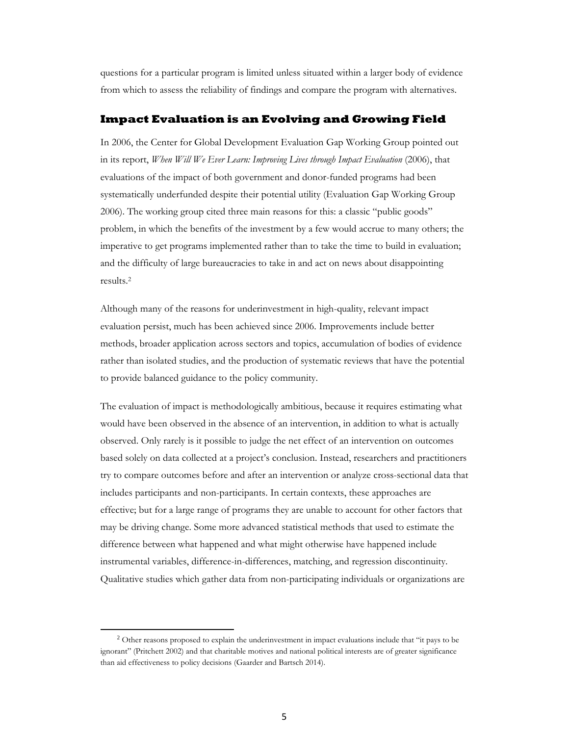questions for a particular program is limited unless situated within a larger body of evidence from which to assess the reliability of findings and compare the program with alternatives.

#### **Impact Evaluation is an Evolving and Growing Field**

In 2006, the Center for Global Development Evaluation Gap Working Group pointed out in its report, *When Will We Ever Learn: Improving Lives through Impact Evaluation* (2006), that evaluations of the impact of both government and donor-funded programs had been systematically underfunded despite their potential utility (Evaluation Gap Working Group 2006). The working group cited three main reasons for this: a classic "public goods" problem, in which the benefits of the investment by a few would accrue to many others; the imperative to get programs implemented rather than to take the time to build in evaluation; and the difficulty of large bureaucracies to take in and act on news about disappointing results.2

Although many of the reasons for underinvestment in high-quality, relevant impact evaluation persist, much has been achieved since 2006. Improvements include better methods, broader application across sectors and topics, accumulation of bodies of evidence rather than isolated studies, and the production of systematic reviews that have the potential to provide balanced guidance to the policy community.

The evaluation of impact is methodologically ambitious, because it requires estimating what would have been observed in the absence of an intervention, in addition to what is actually observed. Only rarely is it possible to judge the net effect of an intervention on outcomes based solely on data collected at a project's conclusion. Instead, researchers and practitioners try to compare outcomes before and after an intervention or analyze cross-sectional data that includes participants and non-participants. In certain contexts, these approaches are effective; but for a large range of programs they are unable to account for other factors that may be driving change. Some more advanced statistical methods that used to estimate the difference between what happened and what might otherwise have happened include instrumental variables, difference-in-differences, matching, and regression discontinuity. Qualitative studies which gather data from non-participating individuals or organizations are

 $\overline{a}$ 

<sup>&</sup>lt;sup>2</sup> Other reasons proposed to explain the underinvestment in impact evaluations include that "it pays to be ignorant" (Pritchett 2002) and that charitable motives and national political interests are of greater significance than aid effectiveness to policy decisions (Gaarder and Bartsch 2014).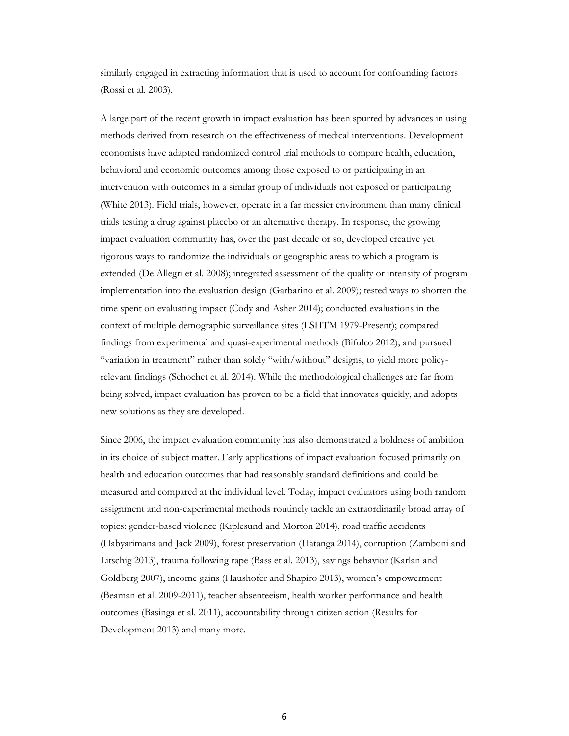similarly engaged in extracting information that is used to account for confounding factors (Rossi et al. 2003).

A large part of the recent growth in impact evaluation has been spurred by advances in using methods derived from research on the effectiveness of medical interventions. Development economists have adapted randomized control trial methods to compare health, education, behavioral and economic outcomes among those exposed to or participating in an intervention with outcomes in a similar group of individuals not exposed or participating (White 2013). Field trials, however, operate in a far messier environment than many clinical trials testing a drug against placebo or an alternative therapy. In response, the growing impact evaluation community has, over the past decade or so, developed creative yet rigorous ways to randomize the individuals or geographic areas to which a program is extended (De Allegri et al. 2008); integrated assessment of the quality or intensity of program implementation into the evaluation design (Garbarino et al. 2009); tested ways to shorten the time spent on evaluating impact (Cody and Asher 2014); conducted evaluations in the context of multiple demographic surveillance sites (LSHTM 1979-Present); compared findings from experimental and quasi-experimental methods (Bifulco 2012); and pursued "variation in treatment" rather than solely "with/without" designs, to yield more policyrelevant findings (Schochet et al. 2014). While the methodological challenges are far from being solved, impact evaluation has proven to be a field that innovates quickly, and adopts new solutions as they are developed.

Since 2006, the impact evaluation community has also demonstrated a boldness of ambition in its choice of subject matter. Early applications of impact evaluation focused primarily on health and education outcomes that had reasonably standard definitions and could be measured and compared at the individual level. Today, impact evaluators using both random assignment and non-experimental methods routinely tackle an extraordinarily broad array of topics: gender-based violence (Kiplesund and Morton 2014), road traffic accidents (Habyarimana and Jack 2009), forest preservation (Hatanga 2014), corruption (Zamboni and Litschig 2013), trauma following rape (Bass et al. 2013), savings behavior (Karlan and Goldberg 2007), income gains (Haushofer and Shapiro 2013), women's empowerment (Beaman et al. 2009-2011), teacher absenteeism, health worker performance and health outcomes (Basinga et al. 2011), accountability through citizen action (Results for Development 2013) and many more.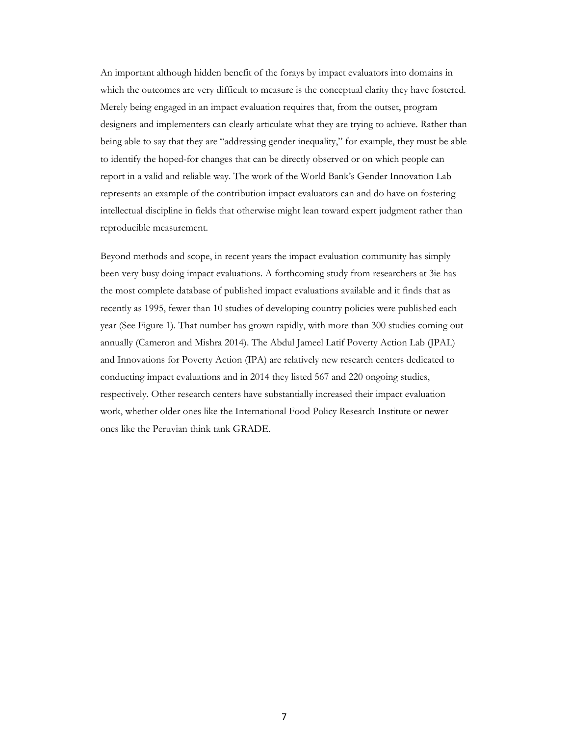An important although hidden benefit of the forays by impact evaluators into domains in which the outcomes are very difficult to measure is the conceptual clarity they have fostered. Merely being engaged in an impact evaluation requires that, from the outset, program designers and implementers can clearly articulate what they are trying to achieve. Rather than being able to say that they are "addressing gender inequality," for example, they must be able to identify the hoped-for changes that can be directly observed or on which people can report in a valid and reliable way. The work of the World Bank's Gender Innovation Lab represents an example of the contribution impact evaluators can and do have on fostering intellectual discipline in fields that otherwise might lean toward expert judgment rather than reproducible measurement.

Beyond methods and scope, in recent years the impact evaluation community has simply been very busy doing impact evaluations. A forthcoming study from researchers at 3ie has the most complete database of published impact evaluations available and it finds that as recently as 1995, fewer than 10 studies of developing country policies were published each year (See Figure 1). That number has grown rapidly, with more than 300 studies coming out annually (Cameron and Mishra 2014). The Abdul Jameel Latif Poverty Action Lab (JPAL) and Innovations for Poverty Action (IPA) are relatively new research centers dedicated to conducting impact evaluations and in 2014 they listed 567 and 220 ongoing studies, respectively. Other research centers have substantially increased their impact evaluation work, whether older ones like the International Food Policy Research Institute or newer ones like the Peruvian think tank GRADE.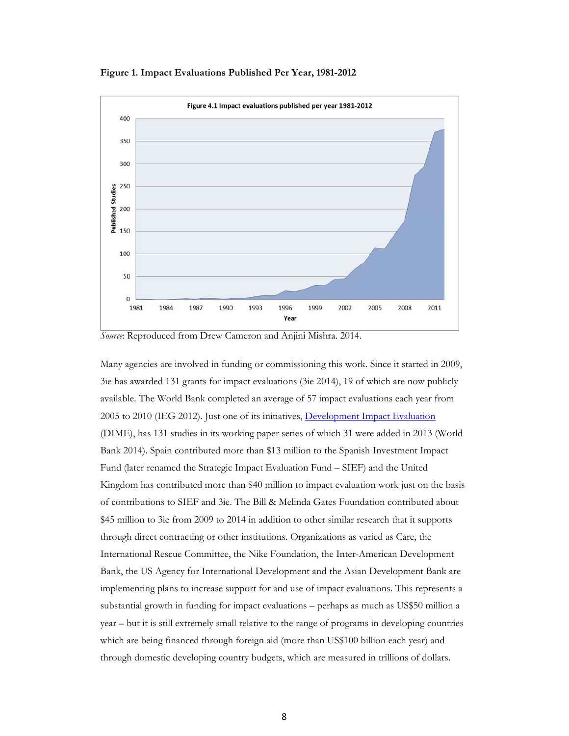**Figure 1. Impact Evaluations Published Per Year, 1981-2012** 



*Source*: Reproduced from Drew Cameron and Anjini Mishra. 2014.

Many agencies are involved in funding or commissioning this work. Since it started in 2009, 3ie has awarded 131 grants for impact evaluations (3ie 2014), 19 of which are now publicly available. The World Bank completed an average of 57 impact evaluations each year from 2005 to 2010 (IEG 2012). Just one of its initiatives, Development Impact Evaluation (DIME), has 131 studies in its working paper series of which 31 were added in 2013 (World Bank 2014). Spain contributed more than \$13 million to the Spanish Investment Impact Fund (later renamed the Strategic Impact Evaluation Fund – SIEF) and the United Kingdom has contributed more than \$40 million to impact evaluation work just on the basis of contributions to SIEF and 3ie. The Bill & Melinda Gates Foundation contributed about \$45 million to 3ie from 2009 to 2014 in addition to other similar research that it supports through direct contracting or other institutions. Organizations as varied as Care, the International Rescue Committee, the Nike Foundation, the Inter-American Development Bank, the US Agency for International Development and the Asian Development Bank are implementing plans to increase support for and use of impact evaluations. This represents a substantial growth in funding for impact evaluations – perhaps as much as US\$50 million a year – but it is still extremely small relative to the range of programs in developing countries which are being financed through foreign aid (more than US\$100 billion each year) and through domestic developing country budgets, which are measured in trillions of dollars.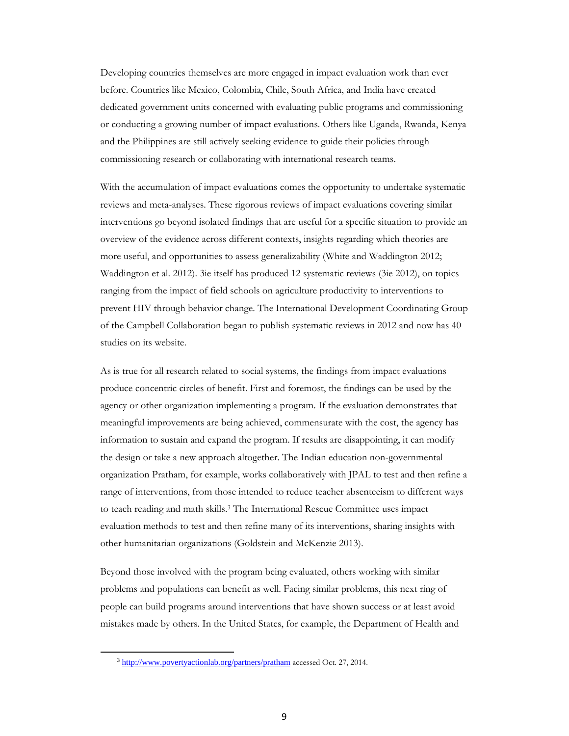Developing countries themselves are more engaged in impact evaluation work than ever before. Countries like Mexico, Colombia, Chile, South Africa, and India have created dedicated government units concerned with evaluating public programs and commissioning or conducting a growing number of impact evaluations. Others like Uganda, Rwanda, Kenya and the Philippines are still actively seeking evidence to guide their policies through commissioning research or collaborating with international research teams.

With the accumulation of impact evaluations comes the opportunity to undertake systematic reviews and meta-analyses. These rigorous reviews of impact evaluations covering similar interventions go beyond isolated findings that are useful for a specific situation to provide an overview of the evidence across different contexts, insights regarding which theories are more useful, and opportunities to assess generalizability (White and Waddington 2012; Waddington et al. 2012). 3ie itself has produced 12 systematic reviews (3ie 2012), on topics ranging from the impact of field schools on agriculture productivity to interventions to prevent HIV through behavior change. The International Development Coordinating Group of the Campbell Collaboration began to publish systematic reviews in 2012 and now has 40 studies on its website.

As is true for all research related to social systems, the findings from impact evaluations produce concentric circles of benefit. First and foremost, the findings can be used by the agency or other organization implementing a program. If the evaluation demonstrates that meaningful improvements are being achieved, commensurate with the cost, the agency has information to sustain and expand the program. If results are disappointing, it can modify the design or take a new approach altogether. The Indian education non-governmental organization Pratham, for example, works collaboratively with JPAL to test and then refine a range of interventions, from those intended to reduce teacher absenteeism to different ways to teach reading and math skills.3 The International Rescue Committee uses impact evaluation methods to test and then refine many of its interventions, sharing insights with other humanitarian organizations (Goldstein and McKenzie 2013).

Beyond those involved with the program being evaluated, others working with similar problems and populations can benefit as well. Facing similar problems, this next ring of people can build programs around interventions that have shown success or at least avoid mistakes made by others. In the United States, for example, the Department of Health and

1

<sup>3</sup> http://www.povertyactionlab.org/partners/pratham accessed Oct. 27, 2014.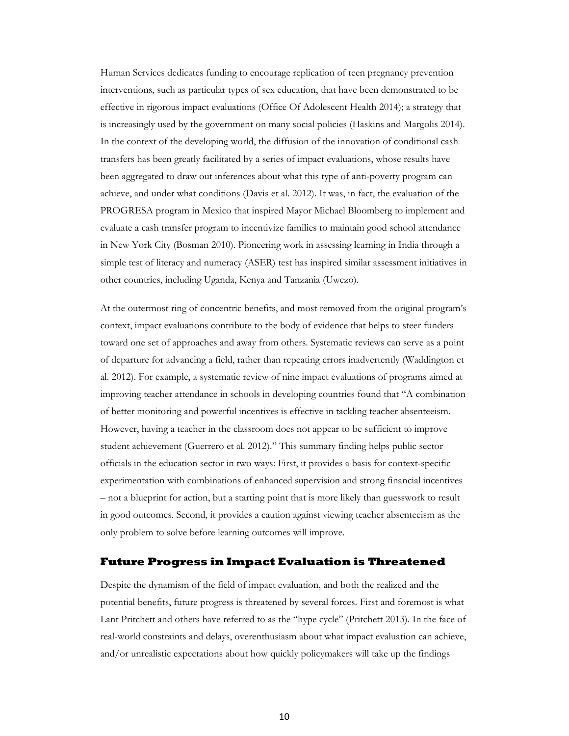Human Services dedicates funding to encourage replication of teen pregnancy prevention interventions, such as particular types of sex education, that have been demonstrated to be effective in rigorous impact evaluations (Office Of Adolescent Health 2014); a strategy that is increasingly used by the government on many social policies (Haskins and Margolis 2014). In the context of the developing world, the diffusion of the innovation of conditional cash transfers has been greatly facilitated by a series of impact evaluations, whose results have been aggregated to draw out inferences about what this type of anti-poverty program can achieve, and under what conditions (Davis et al. 2012). It was, in fact, the evaluation of the PROGRESA program in Mexico that inspired Mayor Michael Bloomberg to implement and evaluate a cash transfer program to incentivize families to maintain good school attendance in New York City (Bosman 2010). Pioneering work in assessing learning in India through a simple test of literacy and numeracy (ASER) test has inspired similar assessment initiatives in other countries, including Uganda, Kenya and Tanzania (Uwezo).

At the outermost ring of concentric benefits, and most removed from the original program's context, impact evaluations contribute to the body of evidence that helps to steer funders toward one set of approaches and away from others. Systematic reviews can serve as a point of departure for advancing a field, rather than repeating errors inadvertently (Waddington et al. 2012). For example, a systematic review of nine impact evaluations of programs aimed at improving teacher attendance in schools in developing countries found that "A combination of better monitoring and powerful incentives is effective in tackling teacher absenteeism. However, having a teacher in the classroom does not appear to be sufficient to improve student achievement (Guerrero et al. 2012)." This summary finding helps public sector officials in the education sector in two ways: First, it provides a basis for context-specific experimentation with combinations of enhanced supervision and strong financial incentives – not a blueprint for action, but a starting point that is more likely than guesswork to result in good outcomes. Second, it provides a caution against viewing teacher absenteeism as the only problem to solve before learning outcomes will improve.

#### **Future Progress in Impact Evaluation is Threatened**

Despite the dynamism of the field of impact evaluation, and both the realized and the potential benefits, future progress is threatened by several forces. First and foremost is what Lant Pritchett and others have referred to as the "hype cycle" (Pritchett 2013). In the face of real-world constraints and delays, overenthusiasm about what impact evaluation can achieve, and/or unrealistic expectations about how quickly policymakers will take up the findings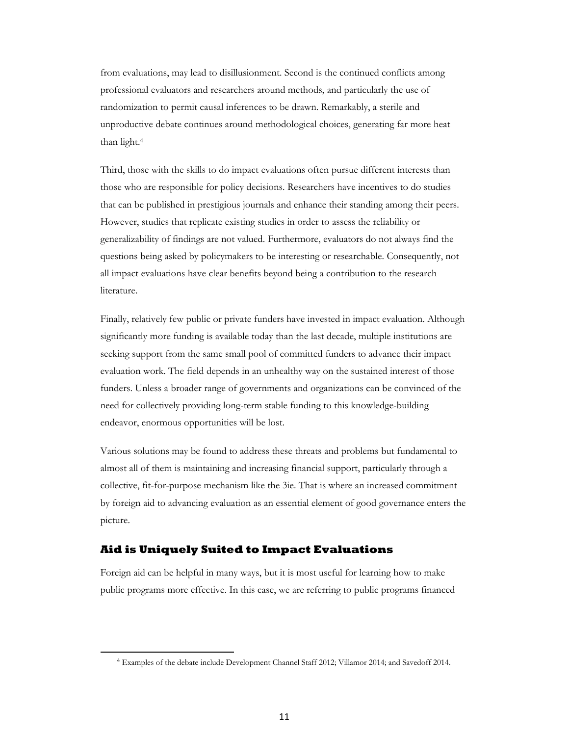from evaluations, may lead to disillusionment. Second is the continued conflicts among professional evaluators and researchers around methods, and particularly the use of randomization to permit causal inferences to be drawn. Remarkably, a sterile and unproductive debate continues around methodological choices, generating far more heat than light.4

Third, those with the skills to do impact evaluations often pursue different interests than those who are responsible for policy decisions. Researchers have incentives to do studies that can be published in prestigious journals and enhance their standing among their peers. However, studies that replicate existing studies in order to assess the reliability or generalizability of findings are not valued. Furthermore, evaluators do not always find the questions being asked by policymakers to be interesting or researchable. Consequently, not all impact evaluations have clear benefits beyond being a contribution to the research literature.

Finally, relatively few public or private funders have invested in impact evaluation. Although significantly more funding is available today than the last decade, multiple institutions are seeking support from the same small pool of committed funders to advance their impact evaluation work. The field depends in an unhealthy way on the sustained interest of those funders. Unless a broader range of governments and organizations can be convinced of the need for collectively providing long-term stable funding to this knowledge-building endeavor, enormous opportunities will be lost.

Various solutions may be found to address these threats and problems but fundamental to almost all of them is maintaining and increasing financial support, particularly through a collective, fit-for-purpose mechanism like the 3ie. That is where an increased commitment by foreign aid to advancing evaluation as an essential element of good governance enters the picture.

#### **Aid is Uniquely Suited to Impact Evaluations**

 $\overline{a}$ 

Foreign aid can be helpful in many ways, but it is most useful for learning how to make public programs more effective. In this case, we are referring to public programs financed

<sup>4</sup> Examples of the debate include Development Channel Staff 2012; Villamor 2014; and Savedoff 2014.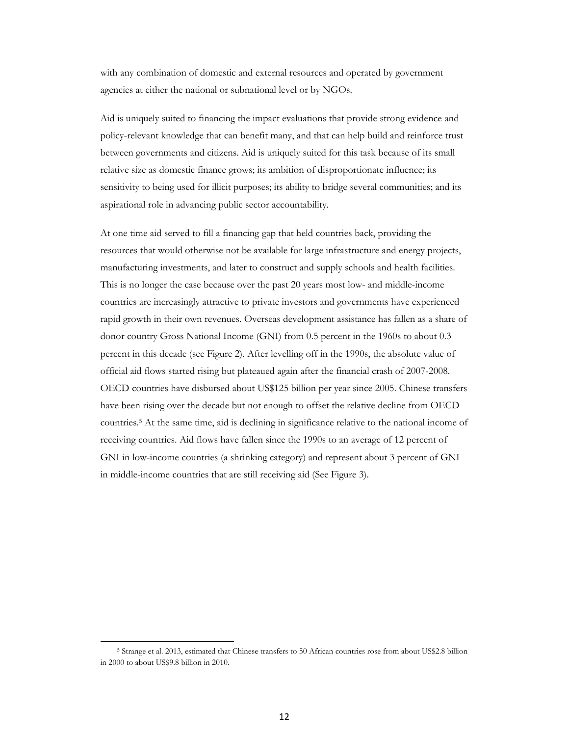with any combination of domestic and external resources and operated by government agencies at either the national or subnational level or by NGOs.

Aid is uniquely suited to financing the impact evaluations that provide strong evidence and policy-relevant knowledge that can benefit many, and that can help build and reinforce trust between governments and citizens. Aid is uniquely suited for this task because of its small relative size as domestic finance grows; its ambition of disproportionate influence; its sensitivity to being used for illicit purposes; its ability to bridge several communities; and its aspirational role in advancing public sector accountability.

At one time aid served to fill a financing gap that held countries back, providing the resources that would otherwise not be available for large infrastructure and energy projects, manufacturing investments, and later to construct and supply schools and health facilities. This is no longer the case because over the past 20 years most low- and middle-income countries are increasingly attractive to private investors and governments have experienced rapid growth in their own revenues. Overseas development assistance has fallen as a share of donor country Gross National Income (GNI) from 0.5 percent in the 1960s to about 0.3 percent in this decade (see Figure 2). After levelling off in the 1990s, the absolute value of official aid flows started rising but plateaued again after the financial crash of 2007-2008. OECD countries have disbursed about US\$125 billion per year since 2005. Chinese transfers have been rising over the decade but not enough to offset the relative decline from OECD countries.5 At the same time, aid is declining in significance relative to the national income of receiving countries. Aid flows have fallen since the 1990s to an average of 12 percent of GNI in low-income countries (a shrinking category) and represent about 3 percent of GNI in middle-income countries that are still receiving aid (See Figure 3).

**.** 

<sup>5</sup> Strange et al. 2013, estimated that Chinese transfers to 50 African countries rose from about US\$2.8 billion in 2000 to about US\$9.8 billion in 2010.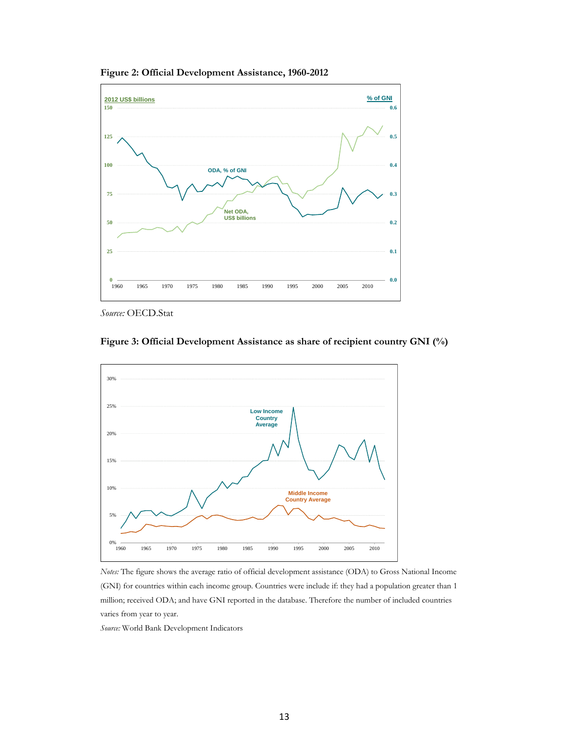**Figure 2: Official Development Assistance, 1960-2012**



*Source:* OECD.Stat



**Figure 3: Official Development Assistance as share of recipient country GNI (%)** 

*Notes:* The figure shows the average ratio of official development assistance (ODA) to Gross National Income (GNI) for countries within each income group. Countries were include if: they had a population greater than 1 million; received ODA; and have GNI reported in the database. Therefore the number of included countries varies from year to year.

*Source:* World Bank Development Indicators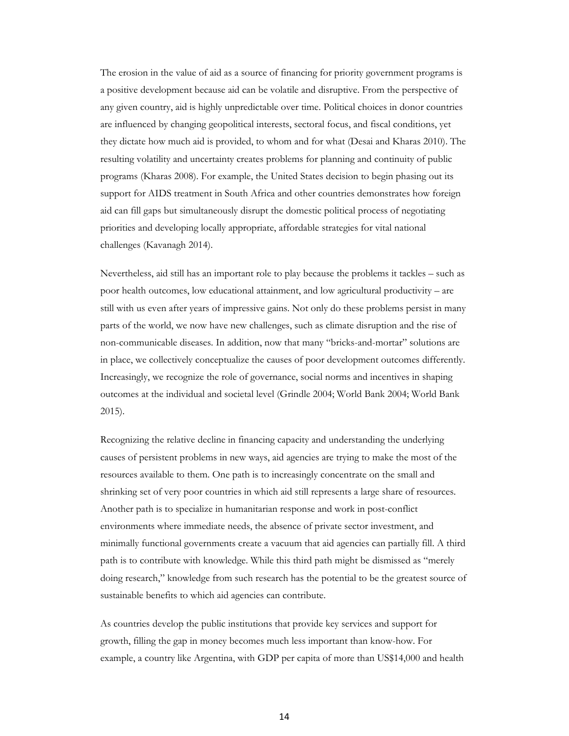The erosion in the value of aid as a source of financing for priority government programs is a positive development because aid can be volatile and disruptive. From the perspective of any given country, aid is highly unpredictable over time. Political choices in donor countries are influenced by changing geopolitical interests, sectoral focus, and fiscal conditions, yet they dictate how much aid is provided, to whom and for what (Desai and Kharas 2010). The resulting volatility and uncertainty creates problems for planning and continuity of public programs (Kharas 2008). For example, the United States decision to begin phasing out its support for AIDS treatment in South Africa and other countries demonstrates how foreign aid can fill gaps but simultaneously disrupt the domestic political process of negotiating priorities and developing locally appropriate, affordable strategies for vital national challenges (Kavanagh 2014).

Nevertheless, aid still has an important role to play because the problems it tackles – such as poor health outcomes, low educational attainment, and low agricultural productivity – are still with us even after years of impressive gains. Not only do these problems persist in many parts of the world, we now have new challenges, such as climate disruption and the rise of non-communicable diseases. In addition, now that many "bricks-and-mortar" solutions are in place, we collectively conceptualize the causes of poor development outcomes differently. Increasingly, we recognize the role of governance, social norms and incentives in shaping outcomes at the individual and societal level (Grindle 2004; World Bank 2004; World Bank 2015).

Recognizing the relative decline in financing capacity and understanding the underlying causes of persistent problems in new ways, aid agencies are trying to make the most of the resources available to them. One path is to increasingly concentrate on the small and shrinking set of very poor countries in which aid still represents a large share of resources. Another path is to specialize in humanitarian response and work in post-conflict environments where immediate needs, the absence of private sector investment, and minimally functional governments create a vacuum that aid agencies can partially fill. A third path is to contribute with knowledge. While this third path might be dismissed as "merely doing research," knowledge from such research has the potential to be the greatest source of sustainable benefits to which aid agencies can contribute.

As countries develop the public institutions that provide key services and support for growth, filling the gap in money becomes much less important than know-how. For example, a country like Argentina, with GDP per capita of more than US\$14,000 and health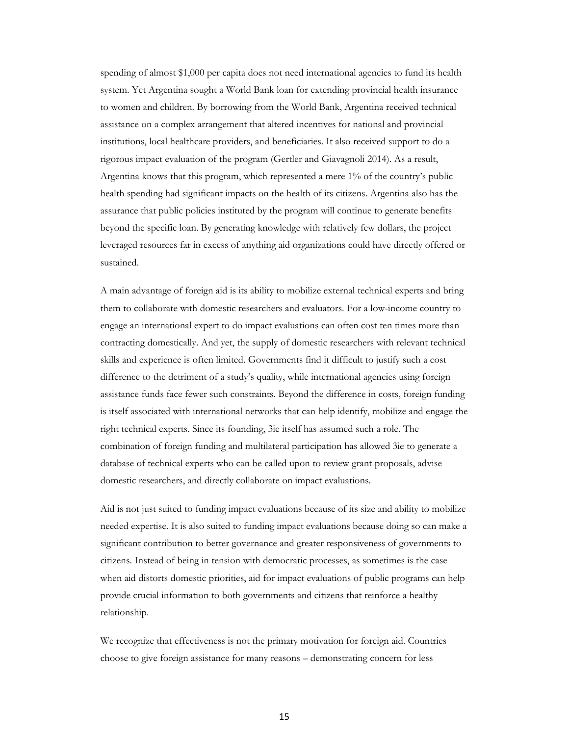spending of almost \$1,000 per capita does not need international agencies to fund its health system. Yet Argentina sought a World Bank loan for extending provincial health insurance to women and children. By borrowing from the World Bank, Argentina received technical assistance on a complex arrangement that altered incentives for national and provincial institutions, local healthcare providers, and beneficiaries. It also received support to do a rigorous impact evaluation of the program (Gertler and Giavagnoli 2014). As a result, Argentina knows that this program, which represented a mere 1% of the country's public health spending had significant impacts on the health of its citizens. Argentina also has the assurance that public policies instituted by the program will continue to generate benefits beyond the specific loan. By generating knowledge with relatively few dollars, the project leveraged resources far in excess of anything aid organizations could have directly offered or sustained.

A main advantage of foreign aid is its ability to mobilize external technical experts and bring them to collaborate with domestic researchers and evaluators. For a low-income country to engage an international expert to do impact evaluations can often cost ten times more than contracting domestically. And yet, the supply of domestic researchers with relevant technical skills and experience is often limited. Governments find it difficult to justify such a cost difference to the detriment of a study's quality, while international agencies using foreign assistance funds face fewer such constraints. Beyond the difference in costs, foreign funding is itself associated with international networks that can help identify, mobilize and engage the right technical experts. Since its founding, 3ie itself has assumed such a role. The combination of foreign funding and multilateral participation has allowed 3ie to generate a database of technical experts who can be called upon to review grant proposals, advise domestic researchers, and directly collaborate on impact evaluations.

Aid is not just suited to funding impact evaluations because of its size and ability to mobilize needed expertise. It is also suited to funding impact evaluations because doing so can make a significant contribution to better governance and greater responsiveness of governments to citizens. Instead of being in tension with democratic processes, as sometimes is the case when aid distorts domestic priorities, aid for impact evaluations of public programs can help provide crucial information to both governments and citizens that reinforce a healthy relationship.

We recognize that effectiveness is not the primary motivation for foreign aid. Countries choose to give foreign assistance for many reasons – demonstrating concern for less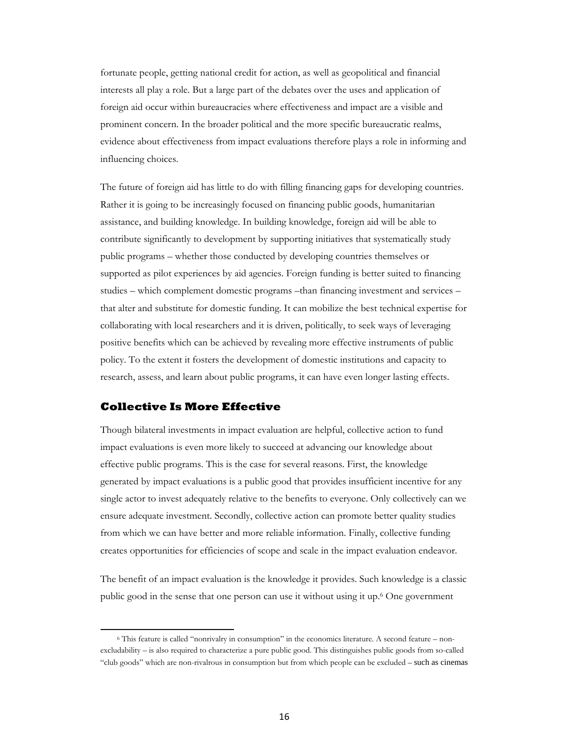fortunate people, getting national credit for action, as well as geopolitical and financial interests all play a role. But a large part of the debates over the uses and application of foreign aid occur within bureaucracies where effectiveness and impact are a visible and prominent concern. In the broader political and the more specific bureaucratic realms, evidence about effectiveness from impact evaluations therefore plays a role in informing and influencing choices.

The future of foreign aid has little to do with filling financing gaps for developing countries. Rather it is going to be increasingly focused on financing public goods, humanitarian assistance, and building knowledge. In building knowledge, foreign aid will be able to contribute significantly to development by supporting initiatives that systematically study public programs – whether those conducted by developing countries themselves or supported as pilot experiences by aid agencies. Foreign funding is better suited to financing studies – which complement domestic programs –than financing investment and services – that alter and substitute for domestic funding. It can mobilize the best technical expertise for collaborating with local researchers and it is driven, politically, to seek ways of leveraging positive benefits which can be achieved by revealing more effective instruments of public policy. To the extent it fosters the development of domestic institutions and capacity to research, assess, and learn about public programs, it can have even longer lasting effects.

#### **Collective Is More Effective**

 $\overline{a}$ 

Though bilateral investments in impact evaluation are helpful, collective action to fund impact evaluations is even more likely to succeed at advancing our knowledge about effective public programs. This is the case for several reasons. First, the knowledge generated by impact evaluations is a public good that provides insufficient incentive for any single actor to invest adequately relative to the benefits to everyone. Only collectively can we ensure adequate investment. Secondly, collective action can promote better quality studies from which we can have better and more reliable information. Finally, collective funding creates opportunities for efficiencies of scope and scale in the impact evaluation endeavor.

The benefit of an impact evaluation is the knowledge it provides. Such knowledge is a classic public good in the sense that one person can use it without using it up.6 One government

<sup>6</sup> This feature is called "nonrivalry in consumption" in the economics literature. A second feature – nonexcludability – is also required to characterize a pure public good. This distinguishes public goods from so-called "club goods" which are non-rivalrous in consumption but from which people can be excluded – such as cinemas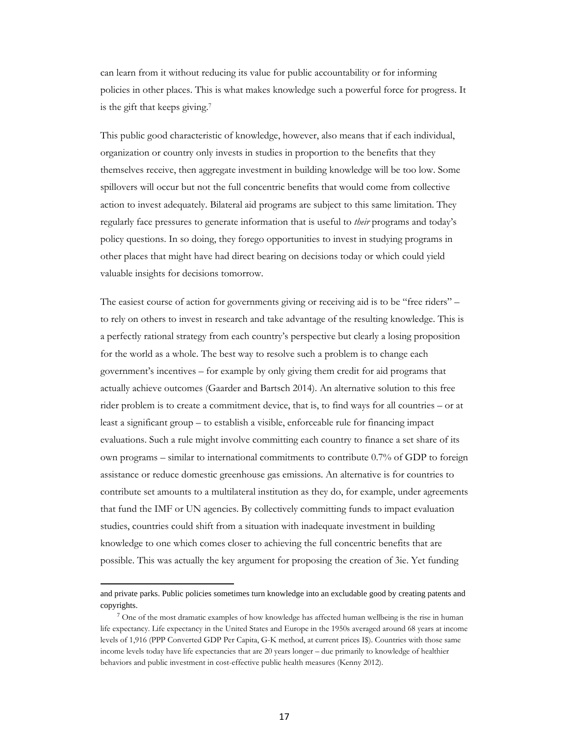can learn from it without reducing its value for public accountability or for informing policies in other places. This is what makes knowledge such a powerful force for progress. It is the gift that keeps giving.7

This public good characteristic of knowledge, however, also means that if each individual, organization or country only invests in studies in proportion to the benefits that they themselves receive, then aggregate investment in building knowledge will be too low. Some spillovers will occur but not the full concentric benefits that would come from collective action to invest adequately. Bilateral aid programs are subject to this same limitation. They regularly face pressures to generate information that is useful to *their* programs and today's policy questions. In so doing, they forego opportunities to invest in studying programs in other places that might have had direct bearing on decisions today or which could yield valuable insights for decisions tomorrow.

The easiest course of action for governments giving or receiving aid is to be "free riders" – to rely on others to invest in research and take advantage of the resulting knowledge. This is a perfectly rational strategy from each country's perspective but clearly a losing proposition for the world as a whole. The best way to resolve such a problem is to change each government's incentives – for example by only giving them credit for aid programs that actually achieve outcomes (Gaarder and Bartsch 2014). An alternative solution to this free rider problem is to create a commitment device, that is, to find ways for all countries – or at least a significant group – to establish a visible, enforceable rule for financing impact evaluations. Such a rule might involve committing each country to finance a set share of its own programs – similar to international commitments to contribute 0.7% of GDP to foreign assistance or reduce domestic greenhouse gas emissions. An alternative is for countries to contribute set amounts to a multilateral institution as they do, for example, under agreements that fund the IMF or UN agencies. By collectively committing funds to impact evaluation studies, countries could shift from a situation with inadequate investment in building knowledge to one which comes closer to achieving the full concentric benefits that are possible. This was actually the key argument for proposing the creation of 3ie. Yet funding

 $\overline{a}$ 

and private parks. Public policies sometimes turn knowledge into an excludable good by creating patents and copyrights.

 $7$  One of the most dramatic examples of how knowledge has affected human wellbeing is the rise in human life expectancy. Life expectancy in the United States and Europe in the 1950s averaged around 68 years at income levels of 1,916 (PPP Converted GDP Per Capita, G-K method, at current prices I\$). Countries with those same income levels today have life expectancies that are 20 years longer – due primarily to knowledge of healthier behaviors and public investment in cost-effective public health measures (Kenny 2012).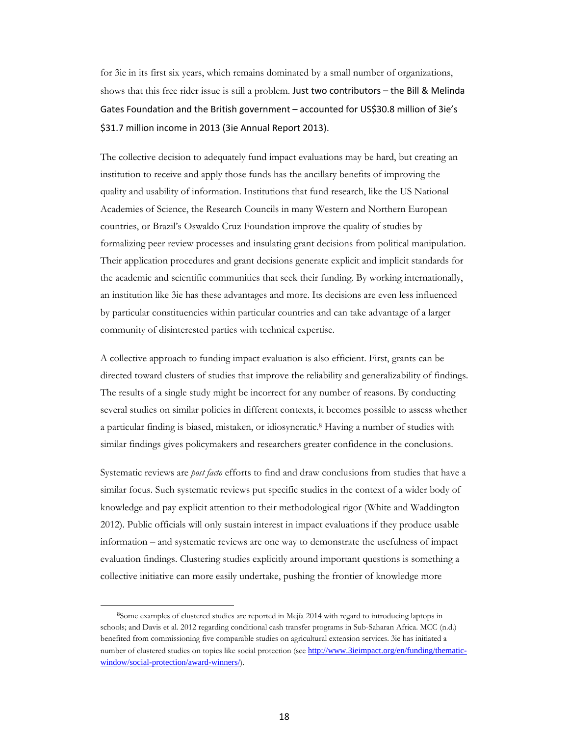for 3ie in its first six years, which remains dominated by a small number of organizations, shows that this free rider issue is still a problem. Just two contributors – the Bill & Melinda Gates Foundation and the British government – accounted for US\$30.8 million of 3ie's \$31.7 million income in 2013 (3ie Annual Report 2013).

The collective decision to adequately fund impact evaluations may be hard, but creating an institution to receive and apply those funds has the ancillary benefits of improving the quality and usability of information. Institutions that fund research, like the US National Academies of Science, the Research Councils in many Western and Northern European countries, or Brazil's Oswaldo Cruz Foundation improve the quality of studies by formalizing peer review processes and insulating grant decisions from political manipulation. Their application procedures and grant decisions generate explicit and implicit standards for the academic and scientific communities that seek their funding. By working internationally, an institution like 3ie has these advantages and more. Its decisions are even less influenced by particular constituencies within particular countries and can take advantage of a larger community of disinterested parties with technical expertise.

A collective approach to funding impact evaluation is also efficient. First, grants can be directed toward clusters of studies that improve the reliability and generalizability of findings. The results of a single study might be incorrect for any number of reasons. By conducting several studies on similar policies in different contexts, it becomes possible to assess whether a particular finding is biased, mistaken, or idiosyncratic.8 Having a number of studies with similar findings gives policymakers and researchers greater confidence in the conclusions.

Systematic reviews are *post facto* efforts to find and draw conclusions from studies that have a similar focus. Such systematic reviews put specific studies in the context of a wider body of knowledge and pay explicit attention to their methodological rigor (White and Waddington 2012). Public officials will only sustain interest in impact evaluations if they produce usable information – and systematic reviews are one way to demonstrate the usefulness of impact evaluation findings. Clustering studies explicitly around important questions is something a collective initiative can more easily undertake, pushing the frontier of knowledge more

**.** 

<sup>8</sup>Some examples of clustered studies are reported in Mejía 2014 with regard to introducing laptops in schools; and Davis et al. 2012 regarding conditional cash transfer programs in Sub-Saharan Africa. MCC (n.d.) benefited from commissioning five comparable studies on agricultural extension services. 3ie has initiated a number of clustered studies on topics like social protection (see http://www.3ieimpact.org/en/funding/thematicwindow/social-protection/award-winners/).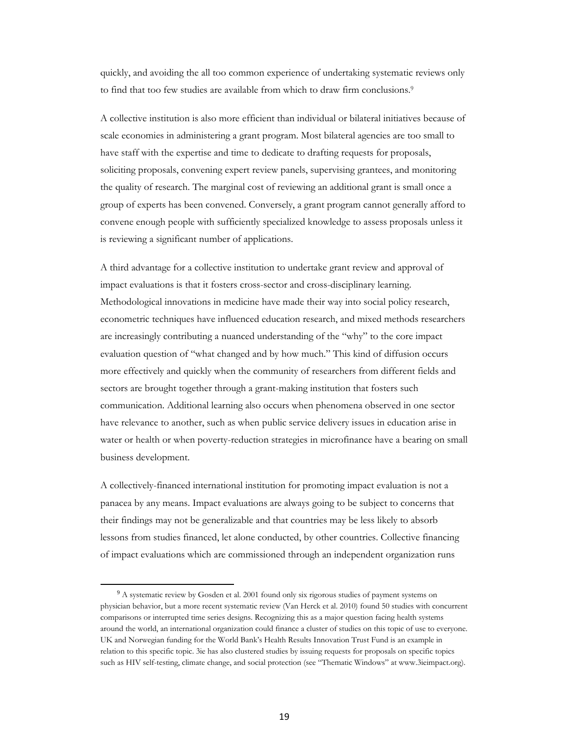quickly, and avoiding the all too common experience of undertaking systematic reviews only to find that too few studies are available from which to draw firm conclusions.<sup>9</sup>

A collective institution is also more efficient than individual or bilateral initiatives because of scale economies in administering a grant program. Most bilateral agencies are too small to have staff with the expertise and time to dedicate to drafting requests for proposals, soliciting proposals, convening expert review panels, supervising grantees, and monitoring the quality of research. The marginal cost of reviewing an additional grant is small once a group of experts has been convened. Conversely, a grant program cannot generally afford to convene enough people with sufficiently specialized knowledge to assess proposals unless it is reviewing a significant number of applications.

A third advantage for a collective institution to undertake grant review and approval of impact evaluations is that it fosters cross-sector and cross-disciplinary learning. Methodological innovations in medicine have made their way into social policy research, econometric techniques have influenced education research, and mixed methods researchers are increasingly contributing a nuanced understanding of the "why" to the core impact evaluation question of "what changed and by how much." This kind of diffusion occurs more effectively and quickly when the community of researchers from different fields and sectors are brought together through a grant-making institution that fosters such communication. Additional learning also occurs when phenomena observed in one sector have relevance to another, such as when public service delivery issues in education arise in water or health or when poverty-reduction strategies in microfinance have a bearing on small business development.

A collectively-financed international institution for promoting impact evaluation is not a panacea by any means. Impact evaluations are always going to be subject to concerns that their findings may not be generalizable and that countries may be less likely to absorb lessons from studies financed, let alone conducted, by other countries. Collective financing of impact evaluations which are commissioned through an independent organization runs

 $\overline{\phantom{a}}$ 

<sup>&</sup>lt;sup>9</sup> A systematic review by Gosden et al. 2001 found only six rigorous studies of payment systems on physician behavior, but a more recent systematic review (Van Herck et al. 2010) found 50 studies with concurrent comparisons or interrupted time series designs. Recognizing this as a major question facing health systems around the world, an international organization could finance a cluster of studies on this topic of use to everyone. UK and Norwegian funding for the World Bank's Health Results Innovation Trust Fund is an example in relation to this specific topic. 3ie has also clustered studies by issuing requests for proposals on specific topics such as HIV self-testing, climate change, and social protection (see "Thematic Windows" at www.3ieimpact.org).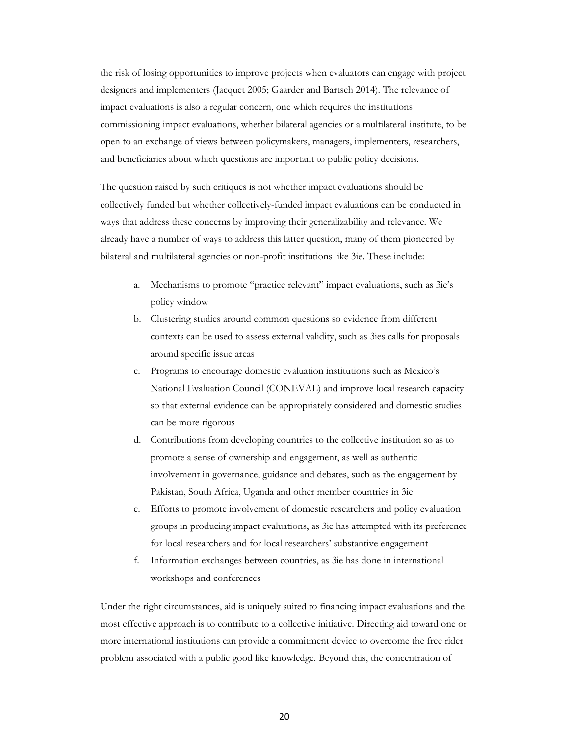the risk of losing opportunities to improve projects when evaluators can engage with project designers and implementers (Jacquet 2005; Gaarder and Bartsch 2014). The relevance of impact evaluations is also a regular concern, one which requires the institutions commissioning impact evaluations, whether bilateral agencies or a multilateral institute, to be open to an exchange of views between policymakers, managers, implementers, researchers, and beneficiaries about which questions are important to public policy decisions.

The question raised by such critiques is not whether impact evaluations should be collectively funded but whether collectively-funded impact evaluations can be conducted in ways that address these concerns by improving their generalizability and relevance. We already have a number of ways to address this latter question, many of them pioneered by bilateral and multilateral agencies or non-profit institutions like 3ie. These include:

- a. Mechanisms to promote "practice relevant" impact evaluations, such as 3ie's policy window
- b. Clustering studies around common questions so evidence from different contexts can be used to assess external validity, such as 3ies calls for proposals around specific issue areas
- c. Programs to encourage domestic evaluation institutions such as Mexico's National Evaluation Council (CONEVAL) and improve local research capacity so that external evidence can be appropriately considered and domestic studies can be more rigorous
- d. Contributions from developing countries to the collective institution so as to promote a sense of ownership and engagement, as well as authentic involvement in governance, guidance and debates, such as the engagement by Pakistan, South Africa, Uganda and other member countries in 3ie
- e. Efforts to promote involvement of domestic researchers and policy evaluation groups in producing impact evaluations, as 3ie has attempted with its preference for local researchers and for local researchers' substantive engagement
- f. Information exchanges between countries, as 3ie has done in international workshops and conferences

Under the right circumstances, aid is uniquely suited to financing impact evaluations and the most effective approach is to contribute to a collective initiative. Directing aid toward one or more international institutions can provide a commitment device to overcome the free rider problem associated with a public good like knowledge. Beyond this, the concentration of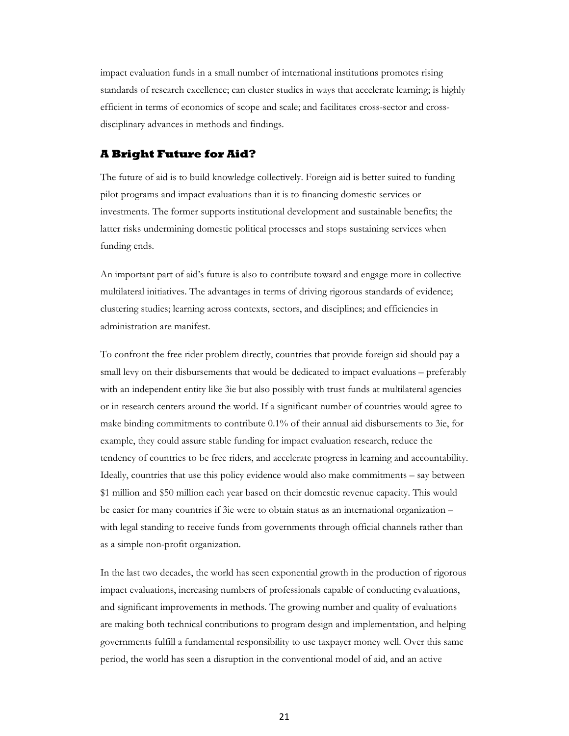impact evaluation funds in a small number of international institutions promotes rising standards of research excellence; can cluster studies in ways that accelerate learning; is highly efficient in terms of economics of scope and scale; and facilitates cross-sector and crossdisciplinary advances in methods and findings.

#### **A Bright Future for Aid?**

The future of aid is to build knowledge collectively. Foreign aid is better suited to funding pilot programs and impact evaluations than it is to financing domestic services or investments. The former supports institutional development and sustainable benefits; the latter risks undermining domestic political processes and stops sustaining services when funding ends.

An important part of aid's future is also to contribute toward and engage more in collective multilateral initiatives. The advantages in terms of driving rigorous standards of evidence; clustering studies; learning across contexts, sectors, and disciplines; and efficiencies in administration are manifest.

To confront the free rider problem directly, countries that provide foreign aid should pay a small levy on their disbursements that would be dedicated to impact evaluations – preferably with an independent entity like 3ie but also possibly with trust funds at multilateral agencies or in research centers around the world. If a significant number of countries would agree to make binding commitments to contribute 0.1% of their annual aid disbursements to 3ie, for example, they could assure stable funding for impact evaluation research, reduce the tendency of countries to be free riders, and accelerate progress in learning and accountability. Ideally, countries that use this policy evidence would also make commitments – say between \$1 million and \$50 million each year based on their domestic revenue capacity. This would be easier for many countries if 3ie were to obtain status as an international organization – with legal standing to receive funds from governments through official channels rather than as a simple non-profit organization.

In the last two decades, the world has seen exponential growth in the production of rigorous impact evaluations, increasing numbers of professionals capable of conducting evaluations, and significant improvements in methods. The growing number and quality of evaluations are making both technical contributions to program design and implementation, and helping governments fulfill a fundamental responsibility to use taxpayer money well. Over this same period, the world has seen a disruption in the conventional model of aid, and an active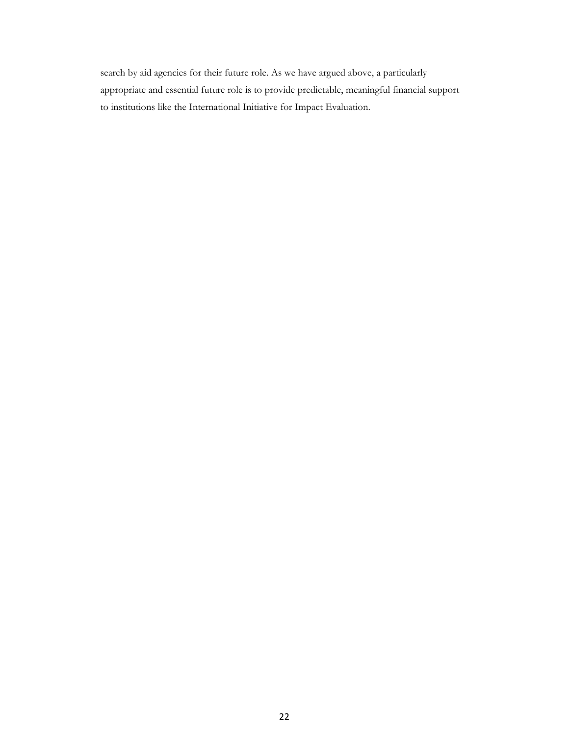search by aid agencies for their future role. As we have argued above, a particularly appropriate and essential future role is to provide predictable, meaningful financial support to institutions like the International Initiative for Impact Evaluation.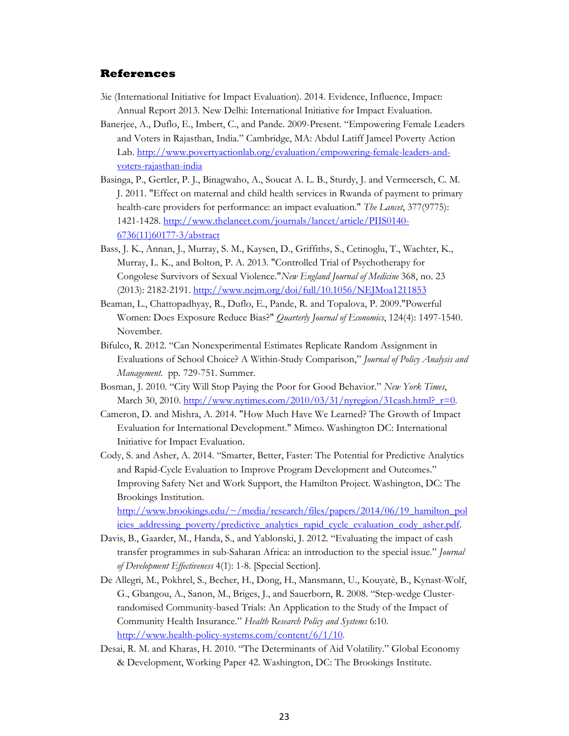#### **References**

- 3ie (International Initiative for Impact Evaluation). 2014. Evidence, Influence, Impact: Annual Report 2013. New Delhi: International Initiative for Impact Evaluation.
- Banerjee, A., Duflo, E., Imbert, C., and Pande. 2009-Present. "Empowering Female Leaders and Voters in Rajasthan, India." Cambridge, MA: Abdul Latiff Jameel Poverty Action Lab. http://www.povertyactionlab.org/evaluation/empowering-female-leaders-andvoters-rajasthan-india
- Basinga, P., Gertler, P. J., Binagwaho, A., Soucat A. L. B., Sturdy, J. and Vermeersch, C. M. J. 2011. "Effect on maternal and child health services in Rwanda of payment to primary health-care providers for performance: an impact evaluation." *The Lancet*, 377(9775): 1421-1428. http://www.thelancet.com/journals/lancet/article/PIIS0140- 6736(11)60177-3/abstract
- Bass, J. K., Annan, J., Murray, S. M., Kaysen, D., Griffiths, S., Cetinoglu, T., Wachter, K., Murray, L. K., and Bolton, P. A. 2013. "Controlled Trial of Psychotherapy for Congolese Survivors of Sexual Violence."*New England Journal of Medicine* 368, no. 23 (2013): 2182-2191. http://www.nejm.org/doi/full/10.1056/NEJMoa1211853
- Beaman, L., Chattopadhyay, R., Duflo, E., Pande, R. and Topalova, P. 2009."Powerful Women: Does Exposure Reduce Bias?" *Quarterly Journal of Economics*, 124(4): 1497-1540. November.
- Bifulco, R. 2012. "Can Nonexperimental Estimates Replicate Random Assignment in Evaluations of School Choice? A Within-Study Comparison," *Journal of Policy Analysis and Management.* pp. 729-751. Summer.
- Bosman, J. 2010. "City Will Stop Paying the Poor for Good Behavior." *New York Times*, March 30, 2010. http://www.nytimes.com/2010/03/31/nyregion/31cash.html? $r=0$ .
- Cameron, D. and Mishra, A. 2014. "How Much Have We Learned? The Growth of Impact Evaluation for International Development." Mimeo. Washington DC: International Initiative for Impact Evaluation.
- Cody, S. and Asher, A. 2014. "Smarter, Better, Faster: The Potential for Predictive Analytics and Rapid-Cycle Evaluation to Improve Program Development and Outcomes." Improving Safety Net and Work Support, the Hamilton Project. Washington, DC: The Brookings Institution.

http://www.brookings.edu/~/media/research/files/papers/2014/06/19\_hamilton\_pol icies\_addressing\_poverty/predictive\_analytics\_rapid\_cycle\_evaluation\_cody\_asher.pdf.

- Davis, B., Gaarder, M., Handa, S., and Yablonski, J. 2012. "Evaluating the impact of cash transfer programmes in sub-Saharan Africa: an introduction to the special issue." *Journal of Development Effectiveness* 4(1): 1-8. [Special Section].
- De Allegri, M., Pokhrel, S., Becher, H., Dong, H., Mansmann, U., Kouyatè, B., Kynast-Wolf, G., Gbangou, A., Sanon, M., Briges, J., and Sauerborn, R. 2008. "Step-wedge Clusterrandomised Community-based Trials: An Application to the Study of the Impact of Community Health Insurance." *Health Research Policy and Systems* 6:10. http://www.health-policy-systems.com/content/6/1/10.
- Desai, R. M. and Kharas, H. 2010. "The Determinants of Aid Volatility." Global Economy & Development, Working Paper 42. Washington, DC: The Brookings Institute.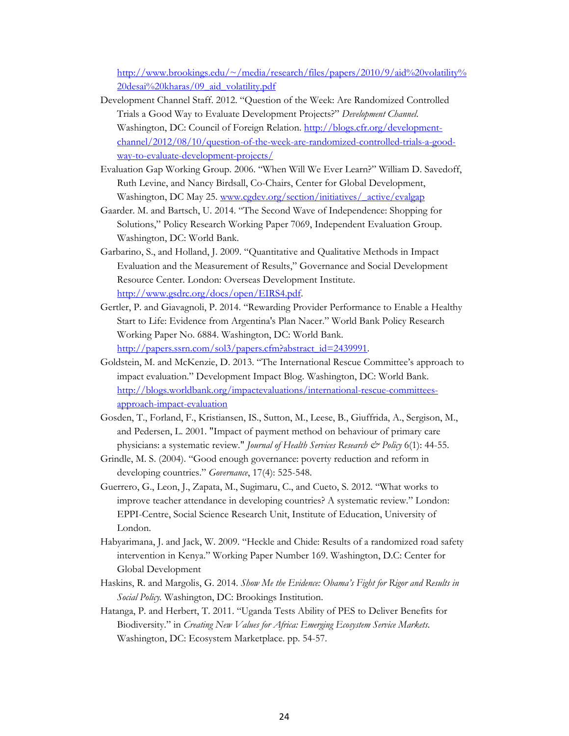http://www.brookings.edu/~/media/research/files/papers/2010/9/aid%20volatility% 20desai%20kharas/09\_aid\_volatility.pdf

- Development Channel Staff. 2012. "Question of the Week: Are Randomized Controlled Trials a Good Way to Evaluate Development Projects?" *Development Channel*. Washington, DC: Council of Foreign Relation. http://blogs.cfr.org/developmentchannel/2012/08/10/question-of-the-week-are-randomized-controlled-trials-a-goodway-to-evaluate-development-projects/
- Evaluation Gap Working Group. 2006. "When Will We Ever Learn?" William D. Savedoff, Ruth Levine, and Nancy Birdsall, Co-Chairs, Center for Global Development, Washington, DC May 25. www.cgdev.org/section/initiatives/\_active/evalgap
- Gaarder. M. and Bartsch, U. 2014. "The Second Wave of Independence: Shopping for Solutions," Policy Research Working Paper 7069, Independent Evaluation Group. Washington, DC: World Bank.
- Garbarino, S., and Holland, J. 2009. "Quantitative and Qualitative Methods in Impact Evaluation and the Measurement of Results," Governance and Social Development Resource Center. London: Overseas Development Institute. http://www.gsdrc.org/docs/open/EIRS4.pdf.
- Gertler, P. and Giavagnoli, P. 2014. "Rewarding Provider Performance to Enable a Healthy Start to Life: Evidence from Argentina's Plan Nacer." World Bank Policy Research Working Paper No. 6884. Washington, DC: World Bank. http://papers.ssrn.com/sol3/papers.cfm?abstract\_id=2439991.
- Goldstein, M. and McKenzie, D. 2013. "The International Rescue Committee's approach to impact evaluation." Development Impact Blog. Washington, DC: World Bank. http://blogs.worldbank.org/impactevaluations/international-rescue-committeesapproach-impact-evaluation
- Gosden, T., Forland, F., Kristiansen, IS., Sutton, M., Leese, B., Giuffrida, A., Sergison, M., and Pedersen, L. 2001. "Impact of payment method on behaviour of primary care physicians: a systematic review." *Journal of Health Services Research & Policy* 6(1): 44-55.
- Grindle, M. S. (2004). "Good enough governance: poverty reduction and reform in developing countries." *Governance*, 17(4): 525-548.
- Guerrero, G., Leon, J., Zapata, M., Sugimaru, C., and Cueto, S. 2012. "What works to improve teacher attendance in developing countries? A systematic review." London: EPPI-Centre, Social Science Research Unit, Institute of Education, University of London.
- Habyarimana, J. and Jack, W. 2009. "Heckle and Chide: Results of a randomized road safety intervention in Kenya." Working Paper Number 169. Washington, D.C: Center for Global Development
- Haskins, R. and Margolis, G. 2014. *Show Me the Evidence: Obama's Fight for Rigor and Results in Social Policy.* Washington, DC: Brookings Institution.
- Hatanga, P. and Herbert, T. 2011. "Uganda Tests Ability of PES to Deliver Benefits for Biodiversity." in *Creating New Values for Africa: Emerging Ecosystem Service Markets*. Washington, DC: Ecosystem Marketplace. pp. 54-57.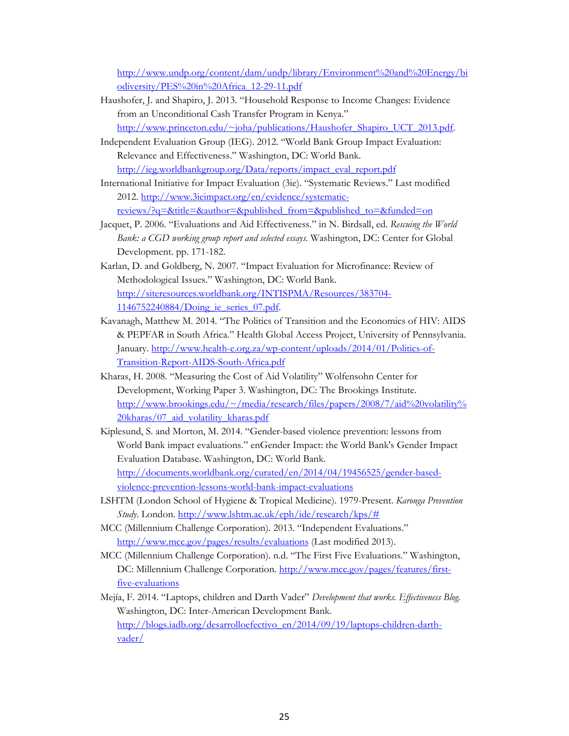http://www.undp.org/content/dam/undp/library/Environment%20and%20Energy/bi odiversity/PES%20in%20Africa\_12-29-11.pdf

- Haushofer, J. and Shapiro, J. 2013. "Household Response to Income Changes: Evidence from an Unconditional Cash Transfer Program in Kenya." http://www.princeton.edu/~joha/publications/Haushofer\_Shapiro\_UCT\_2013.pdf.
- Independent Evaluation Group (IEG). 2012. "World Bank Group Impact Evaluation: Relevance and Effectiveness." Washington, DC: World Bank. http://ieg.worldbankgroup.org/Data/reports/impact\_eval\_report.pdf
- International Initiative for Impact Evaluation (3ie). "Systematic Reviews." Last modified 2012. http://www.3ieimpact.org/en/evidence/systematicreviews/?q=&title=&author=&published\_from=&published\_to=&funded=on
- Jacquet, P. 2006. "Evaluations and Aid Effectiveness." in N. Birdsall, ed. *Rescuing the World Bank: a CGD working group report and selected essays.* Washington, DC: Center for Global Development. pp. 171-182.
- Karlan, D. and Goldberg, N. 2007. "Impact Evaluation for Microfinance: Review of Methodological Issues." Washington, DC: World Bank. http://siteresources.worldbank.org/INTISPMA/Resources/383704- 1146752240884/Doing\_ie\_series\_07.pdf.
- Kavanagh, Matthew M. 2014. "The Politics of Transition and the Economics of HIV: AIDS & PEPFAR in South Africa." Health Global Access Project, University of Pennsylvania. January. http://www.health-e.org.za/wp-content/uploads/2014/01/Politics-of-Transition-Report-AIDS-South-Africa.pdf
- Kharas, H. 2008. "Measuring the Cost of Aid Volatility" Wolfensohn Center for Development, Working Paper 3. Washington, DC: The Brookings Institute. http://www.brookings.edu/~/media/research/files/papers/2008/7/aid%20volatility% 20kharas/07\_aid\_volatility\_kharas.pdf
- Kiplesund, S. and Morton, M. 2014. "Gender-based violence prevention: lessons from World Bank impact evaluations." enGender Impact: the World Bank's Gender Impact Evaluation Database. Washington, DC: World Bank. http://documents.worldbank.org/curated/en/2014/04/19456525/gender-basedviolence-prevention-lessons-world-bank-impact-evaluations
- LSHTM (London School of Hygiene & Tropical Medicine). 1979-Present. *Karonga Prevention Study*. London. http://www.lshtm.ac.uk/eph/ide/research/kps/#
- MCC (Millennium Challenge Corporation). 2013. "Independent Evaluations." http://www.mcc.gov/pages/results/evaluations (Last modified 2013).
- MCC (Millennium Challenge Corporation). n.d. "The First Five Evaluations." Washington, DC: Millennium Challenge Corporation. http://www.mcc.gov/pages/features/firstfive-evaluations
- Mejía, F. 2014. "Laptops, children and Darth Vader" *Development that works. Effectiveness Blog.* Washington, DC: Inter-American Development Bank. http://blogs.iadb.org/desarrolloefectivo\_en/2014/09/19/laptops-children-darthvader/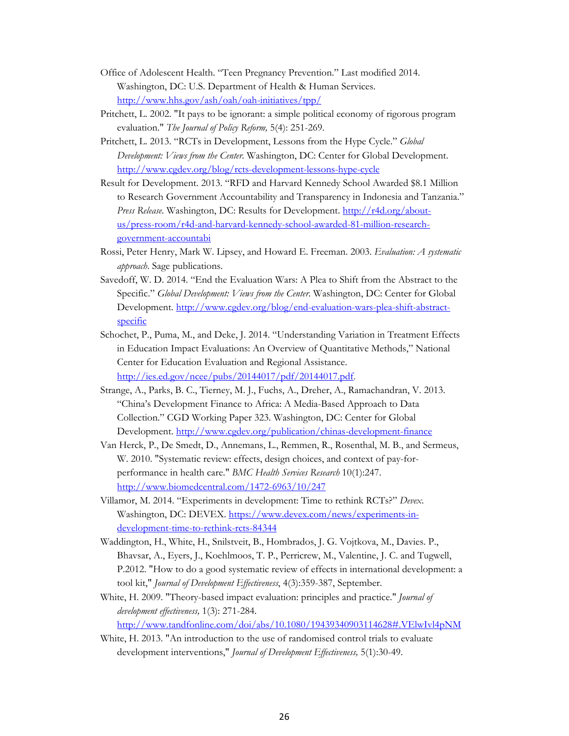- Office of Adolescent Health. "Teen Pregnancy Prevention." Last modified 2014. Washington, DC: U.S. Department of Health & Human Services. http://www.hhs.gov/ash/oah/oah-initiatives/tpp/
- Pritchett, L. 2002. "It pays to be ignorant: a simple political economy of rigorous program evaluation." *The Journal of Policy Reform,* 5(4): 251-269.
- Pritchett, L. 2013. "RCTs in Development, Lessons from the Hype Cycle." *Global Development: Views from the Center.* Washington, DC: Center for Global Development. http://www.cgdev.org/blog/rcts-development-lessons-hype-cycle
- Result for Development. 2013. "RFD and Harvard Kennedy School Awarded \$8.1 Million to Research Government Accountability and Transparency in Indonesia and Tanzania." *Press Release*. Washington, DC: Results for Development. http://r4d.org/aboutus/press-room/r4d-and-harvard-kennedy-school-awarded-81-million-researchgovernment-accountabi
- Rossi, Peter Henry, Mark W. Lipsey, and Howard E. Freeman. 2003. *Evaluation: A systematic approach*. Sage publications.
- Savedoff, W. D. 2014. "End the Evaluation Wars: A Plea to Shift from the Abstract to the Specific." *Global Development: Views from the Center*. Washington, DC: Center for Global Development. http://www.cgdev.org/blog/end-evaluation-wars-plea-shift-abstractspecific
- Schochet, P., Puma, M., and Deke, J. 2014. "Understanding Variation in Treatment Effects in Education Impact Evaluations: An Overview of Quantitative Methods," National Center for Education Evaluation and Regional Assistance. http://ies.ed.gov/ncee/pubs/20144017/pdf/20144017.pdf.
- Strange, A., Parks, B. C., Tierney, M. J., Fuchs, A., Dreher, A., Ramachandran, V. 2013. "China's Development Finance to Africa: A Media-Based Approach to Data Collection." CGD Working Paper 323. Washington, DC: Center for Global Development. http://www.cgdev.org/publication/chinas-development-finance
- Van Herck, P., De Smedt, D., Annemans, L., Remmen, R., Rosenthal, M. B., and Sermeus, W. 2010. "Systematic review: effects, design choices, and context of pay-forperformance in health care." *BMC Health Services Research* 10(1):247. http://www.biomedcentral.com/1472-6963/10/247
- Villamor, M. 2014. "Experiments in development: Time to rethink RCTs?" *Devex*. Washington, DC: DEVEX. https://www.devex.com/news/experiments-indevelopment-time-to-rethink-rcts-84344
- Waddington, H., White, H., Snilstveit, B., Hombrados, J. G. Vojtkova, M., Davies. P., Bhavsar, A., Eyers, J., Koehlmoos, T. P., Perricrew, M., Valentine, J. C. and Tugwell, P.2012. "How to do a good systematic review of effects in international development: a tool kit," *Journal of Development Effectiveness*, 4(3):359-387, September.
- White, H. 2009. "Theory-based impact evaluation: principles and practice." *Journal of development effectiveness,* 1(3): 271-284.

http://www.tandfonline.com/doi/abs/10.1080/19439340903114628#.VElwIvl4pNM

White, H. 2013. "An introduction to the use of randomised control trials to evaluate development interventions," *Journal of Development Effectiveness,* 5(1):30-49.